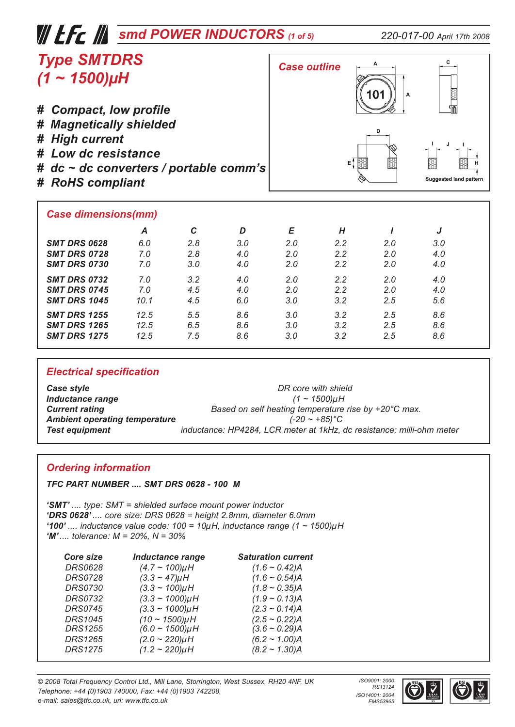| $\mathcal W$ LFC $\mathcal W$ smd POWER INDUCTORS (1 of 5)                                                                                                    |     |     |     |                     |               |          | 220-017-00 April 17th 2008    |
|---------------------------------------------------------------------------------------------------------------------------------------------------------------|-----|-----|-----|---------------------|---------------|----------|-------------------------------|
| <b>Type SMTDRS</b><br>$(1 \sim 1500)$ µH                                                                                                                      |     |     |     | <b>Case outline</b> |               | 10٬<br>A |                               |
| # Compact, low profile<br># Magnetically shielded<br># High current<br># Low dc resistance<br># $dc \sim dc$ converters / portable comm's<br># RoHS compliant |     |     |     |                     | EĴ            | D        | <b>Suggested land pattern</b> |
| <b>Case dimensions(mm)</b>                                                                                                                                    |     |     |     |                     |               |          |                               |
|                                                                                                                                                               | A   | C   | D   | E                   | H             |          |                               |
| <b>SMT DRS 0628</b>                                                                                                                                           | 6.0 | 2.8 | 3.0 | 2.0                 | $2.2^{\circ}$ | 2.0      | 3.0                           |
| <b>SMT DRS 0728</b>                                                                                                                                           | 7.0 | 2.8 | 4.0 | 2.0                 | 2.2           | 2.0      | 4.0                           |
| <b>SMT DRS 0730</b>                                                                                                                                           | 7.0 | 3.0 | 4.0 | 2.0                 | 2.2           | 2.0      | 4.0                           |

| <b>Electrical specification</b>            |             |            |            |            |            |            |            |  |
|--------------------------------------------|-------------|------------|------------|------------|------------|------------|------------|--|
| <b>SMT DRS 1275</b>                        | 12.5        | 7.5        | 8.6        | 3.0        | 3.2        | 2.5        | 8.6        |  |
| <b>SMT DRS 1265</b>                        | 12.5        | 6.5        | 8.6        | 3.0        | 3.2        | 2.5        | 8.6        |  |
| <b>SMT DRS 1255</b>                        | 12.5        | 5.5        | 8.6        | 3.0        | 3.2        | 2.5        | 8.6        |  |
| <b>SMT DRS 0745</b><br><b>SMT DRS 1045</b> | 7.0<br>10.1 | 4.5<br>4.5 | 4.0<br>6.0 | 2.0<br>3.0 | 2.2<br>3.2 | 2.0<br>2.5 | 4.0<br>5.6 |  |
|                                            |             |            |            |            |            |            |            |  |

*SMT DRS 0732 7.0 3.2 4.0 2.0 2.2 2.0 4.0*

**Case style**<br> *Case style*<br> **Inductance range**<br> **Inductance range**<br> **I CALC CONSTANT CONSTANT (1 ~ 1500)µH**  $Inductance range$ **Current rating**<br>**Ambient operating temperature** *Based on self heating temperature rise by +20°C max.*<br>(-20 ~ +85)°C *Ambient operating temperature (-20 ~ +85)°C Test equipment inductance: HP4284, LCR meter at 1kHz, dc resistance: milli-ohm meter* 

#### *Ordering information*

*TFC PART NUMBER .... SMT DRS 0628 - 100 M*

*'SMT' .... type: SMT = shielded surface mount power inductor 'DRS 0628' .... core size: DRS 0628 = height 2.8mm, diameter 6.0mm '100' .... inductance value code: 100 = 10µH, inductance range (1 ~ 1500)µH 'M' .... tolerance: M = 20%, N = 30%*

| Core size      | <b>Inductance range</b> | <b>Saturation current</b> |
|----------------|-------------------------|---------------------------|
| <b>DRS0628</b> | $(4.7 \sim 100)$ µH     | $(1.6 \sim 0.42)$ A       |
| <b>DRS0728</b> | $(3.3 - 47)\mu$ H       | $(1.6 \sim 0.54)$ A       |
| <b>DRS0730</b> | $(3.3 \sim 100) \mu H$  | $(1.8 \sim 0.35)$ A       |
| <b>DRS0732</b> | $(3.3 \sim 1000) \mu H$ | $(1.9 \sim 0.13)$ A       |
| <b>DRS0745</b> | $(3.3 \sim 1000) \mu H$ | $(2.3 \sim 0.14)$ A       |
| <b>DRS1045</b> | $(10 - 1500)$ µH        | $(2.5 \sim 0.22)$ A       |
| <b>DRS1255</b> | $(6.0 - 1500)$ µH       | $(3.6 \sim 0.29)$ A       |
| <b>DRS1265</b> | $(2.0 - 220)$ µH        | $(6.2 - 1.00)$ A          |
| <b>DRS1275</b> | $(1.2 - 220)$ µH        | $(8.2 \sim 1.30)$ A       |

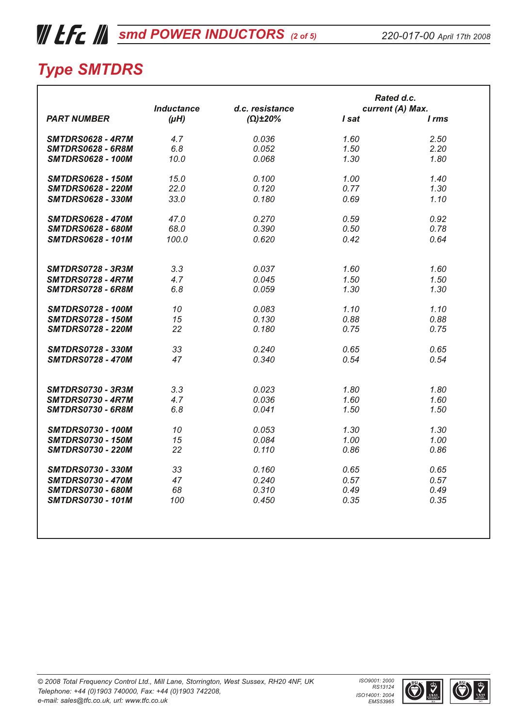# *WEE kg* [smd POWER INDUCTORS](http://www.tfc.co.uk/pages/inductors/smd_power_inductors_index.html) (2 of 5)

|                          |                   |                 |       | Rated d.c.       |
|--------------------------|-------------------|-----------------|-------|------------------|
|                          | <b>Inductance</b> | d.c. resistance |       | current (A) Max. |
| <b>PART NUMBER</b>       | $(\mu H)$         | $(\Omega)$ ±20% | I sat | I rms            |
| <b>SMTDRS0628 - 4R7M</b> | 4.7               | 0.036           | 1.60  | 2.50             |
| <b>SMTDRS0628 - 6R8M</b> | 6.8               | 0.052           | 1.50  | 2.20             |
| <b>SMTDRS0628 - 100M</b> | 10.0              | 0.068           | 1.30  | 1.80             |
| <b>SMTDRS0628 - 150M</b> | 15.0              | 0.100           | 1.00  | 1.40             |
| <b>SMTDRS0628 - 220M</b> | 22.0              | 0.120           | 0.77  | 1.30             |
| <b>SMTDRS0628 - 330M</b> | 33.0              | 0.180           | 0.69  | 1.10             |
| <b>SMTDRS0628 - 470M</b> | 47.0              | 0.270           | 0.59  | 0.92             |
| <b>SMTDRS0628 - 680M</b> | 68.0              | 0.390           | 0.50  | 0.78             |
| <b>SMTDRS0628 - 101M</b> | 100.0             | 0.620           | 0.42  | 0.64             |
| <b>SMTDRS0728 - 3R3M</b> | 3.3               | 0.037           | 1.60  | 1.60             |
| <b>SMTDRS0728 - 4R7M</b> | 4.7               | 0.045           | 1.50  | 1.50             |
| <b>SMTDRS0728 - 6R8M</b> | 6.8               | 0.059           | 1.30  | 1.30             |
| <b>SMTDRS0728 - 100M</b> | 10                | 0.083           | 1.10  | 1.10             |
| <b>SMTDRS0728 - 150M</b> | 15                | 0.130           | 0.88  | 0.88             |
| <b>SMTDRS0728 - 220M</b> | 22                | 0.180           | 0.75  | 0.75             |
| <b>SMTDRS0728 - 330M</b> | 33                | 0.240           | 0.65  | 0.65             |
| <b>SMTDRS0728 - 470M</b> | 47                | 0.340           | 0.54  | 0.54             |
| <b>SMTDRS0730 - 3R3M</b> | 3.3               | 0.023           | 1.80  | 1.80             |
| <b>SMTDRS0730 - 4R7M</b> | 4.7               | 0.036           | 1.60  | 1.60             |
| <b>SMTDRS0730 - 6R8M</b> | 6.8               | 0.041           | 1.50  | 1.50             |
| <b>SMTDRS0730 - 100M</b> | 10                | 0.053           | 1.30  | 1.30             |
| <b>SMTDRS0730 - 150M</b> | 15                | 0.084           | 1.00  | 1.00             |
| <b>SMTDRS0730 - 220M</b> | 22                | 0.110           | 0.86  | 0.86             |
| <b>SMTDRS0730 - 330M</b> | 33                | 0.160           | 0.65  | 0.65             |
| <b>SMTDRS0730 - 470M</b> | 47                | 0.240           | 0.57  | 0.57             |
| <b>SMTDRS0730 - 680M</b> | 68                | 0.310           | 0.49  | 0.49             |
| <b>SMTDRS0730 - 101M</b> | 100               | 0.450           | 0.35  | 0.35             |
|                          |                   |                 |       |                  |
|                          |                   |                 |       |                  |



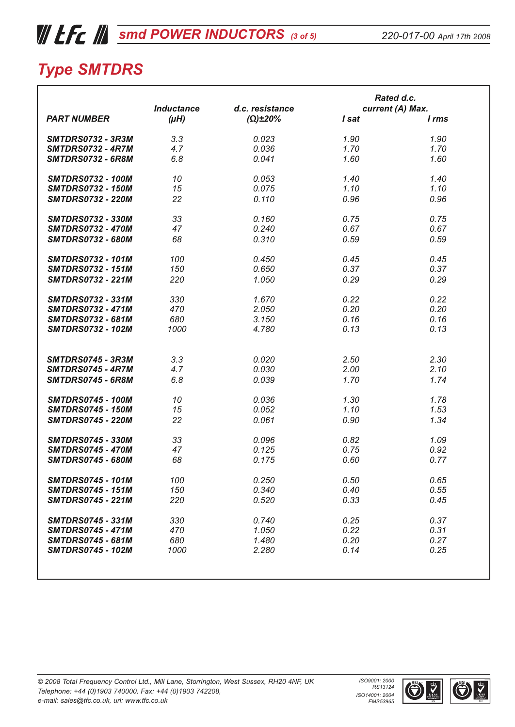# *WEE kg* [smd POWER INDUCTORS](http://www.tfc.co.uk/pages/inductors/smd_power_inductors_index.html) (3 of 5)

|                          |                   |                     |       | Rated d.c.       |
|--------------------------|-------------------|---------------------|-------|------------------|
|                          | <b>Inductance</b> | d.c. resistance     |       | current (A) Max. |
| <b>PART NUMBER</b>       | $(\mu H)$         | $(\Omega) \pm 20\%$ | I sat | I rms            |
| <b>SMTDRS0732 - 3R3M</b> | 3.3               | 0.023               | 1.90  | 1.90             |
| <b>SMTDRS0732 - 4R7M</b> | 4.7               | 0.036               | 1.70  | 1.70             |
| <b>SMTDRS0732 - 6R8M</b> | 6.8               | 0.041               | 1.60  | 1.60             |
| <b>SMTDRS0732 - 100M</b> | 10                | 0.053               | 1.40  | 1.40             |
| <b>SMTDRS0732 - 150M</b> | 15                | 0.075               | 1.10  | 1.10             |
| <b>SMTDRS0732 - 220M</b> | 22                | 0.110               | 0.96  | 0.96             |
| <b>SMTDRS0732 - 330M</b> | 33                | 0.160               | 0.75  | 0.75             |
| <b>SMTDRS0732 - 470M</b> | 47                | 0.240               | 0.67  | 0.67             |
| <b>SMTDRS0732 - 680M</b> | 68                | 0.310               | 0.59  | 0.59             |
| <b>SMTDRS0732 - 101M</b> | 100               | 0.450               | 0.45  | 0.45             |
| <b>SMTDRS0732 - 151M</b> | 150               | 0.650               | 0.37  | 0.37             |
| <b>SMTDRS0732 - 221M</b> |                   |                     |       |                  |
|                          | 220               | 1.050               | 0.29  | 0.29             |
| <b>SMTDRS0732 - 331M</b> | 330               | 1.670               | 0.22  | 0.22             |
| <b>SMTDRS0732 - 471M</b> | 470               | 2.050               | 0.20  | 0.20             |
| <b>SMTDRS0732 - 681M</b> | 680               | 3.150               | 0.16  | 0.16             |
| <b>SMTDRS0732 - 102M</b> | 1000              | 4.780               | 0.13  | 0.13             |
|                          |                   |                     |       |                  |
| <b>SMTDRS0745 - 3R3M</b> | 3.3               | 0.020               | 2.50  | 2.30             |
| <b>SMTDRS0745 - 4R7M</b> | 4.7               | 0.030               | 2.00  | 2.10             |
| <b>SMTDRS0745 - 6R8M</b> | 6.8               | 0.039               | 1.70  | 1.74             |
|                          |                   |                     |       |                  |
| <b>SMTDRS0745 - 100M</b> | 10                | 0.036               | 1.30  | 1.78             |
| <b>SMTDRS0745 - 150M</b> | 15                | 0.052               | 1.10  | 1.53             |
| <b>SMTDRS0745 - 220M</b> | 22                | 0.061               | 0.90  | 1.34             |
| <b>SMTDRS0745 - 330M</b> | 33                | 0.096               | 0.82  | 1.09             |
| <b>SMTDRS0745 - 470M</b> | 47                | 0.125               | 0.75  | 0.92             |
| <b>SMTDRS0745 - 680M</b> | 68                | 0.175               | 0.60  | 0.77             |
| <b>SMTDRS0745 - 101M</b> | 100               | 0.250               | 0.50  | 0.65             |
| <b>SMTDRS0745 - 151M</b> | 150               | 0.340               | 0.40  | 0.55             |
| <b>SMTDRS0745 - 221M</b> | 220               | 0.520               | 0.33  | 0.45             |
| <b>SMTDRS0745 - 331M</b> | 330               | 0.740               | 0.25  | 0.37             |
| <b>SMTDRS0745 - 471M</b> | 470               | 1.050               | 0.22  | 0.31             |
| <b>SMTDRS0745 - 681M</b> | 680               | 1.480               | 0.20  | 0.27             |
| <b>SMTDRS0745 - 102M</b> | 1000              | 2.280               | 0.14  | 0.25             |
|                          |                   |                     |       |                  |
|                          |                   |                     |       |                  |

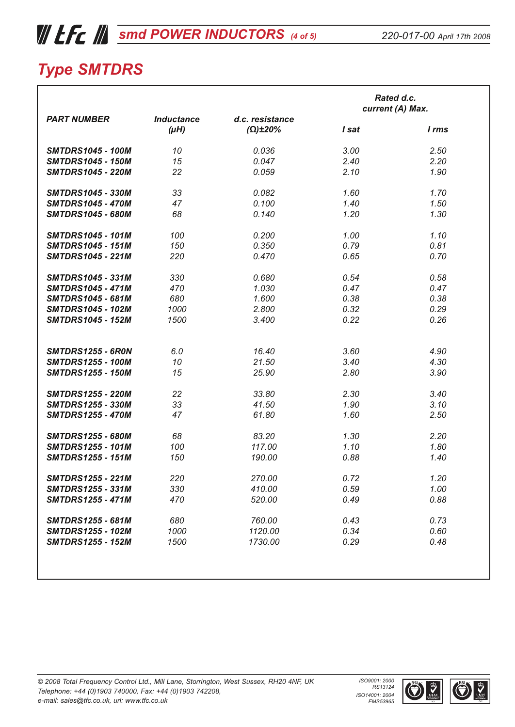## *WEE [smd POWER INDUCTORS](http://www.tfc.co.uk/pages/inductors/smd_power_inductors_index.html) (4 of 5)*

| <b>PART NUMBER</b><br><b>SMTDRS1045 - 100M</b><br><b>SMTDRS1045 - 150M</b><br><b>SMTDRS1045 - 220M</b><br><b>SMTDRS1045 - 330M</b><br><b>SMTDRS1045 - 470M</b><br><b>SMTDRS1045 - 680M</b><br><b>SMTDRS1045 - 101M</b><br><b>SMTDRS1045 - 151M</b><br><b>SMTDRS1045 - 221M</b><br><b>SMTDRS1045 - 331M</b><br><b>SMTDRS1045 - 471M</b><br><b>SMTDRS1045 - 681M</b><br><b>SMTDRS1045 - 102M</b><br><b>SMTDRS1045 - 152M</b><br><b>SMTDRS1255 - 6R0N</b><br><b>SMTDRS1255 - 100M</b><br><b>SMTDRS1255 - 150M</b><br><b>SMTDRS1255 - 220M</b> | <b>Inductance</b><br>$(\mu H)$<br>10<br>15<br>22<br>33<br>47<br>68<br>100<br>150<br>220<br>330<br>470<br>680<br>1000<br>1500 | d.c. resistance<br>$(\Omega) \pm 20\%$<br>0.036<br>0.047<br>0.059<br>0.082<br>0.100<br>0.140<br>0.200<br>0.350<br>0.470<br>0.680<br>1.030<br>1.600<br>2.800<br>3.400 | I sat<br>3.00<br>2.40<br>2.10<br>1.60<br>1.40<br>1.20<br>1.00<br>0.79<br>0.65<br>0.54<br>0.47<br>0.38<br>0.32<br>0.22 | current (A) Max.<br>I rms<br>2.50<br>2.20<br>1.90<br>1.70<br>1.50<br>1.30<br>1.10<br>0.81<br>0.70<br>0.58<br>0.47<br>0.38<br>0.29 |
|--------------------------------------------------------------------------------------------------------------------------------------------------------------------------------------------------------------------------------------------------------------------------------------------------------------------------------------------------------------------------------------------------------------------------------------------------------------------------------------------------------------------------------------------|------------------------------------------------------------------------------------------------------------------------------|----------------------------------------------------------------------------------------------------------------------------------------------------------------------|-----------------------------------------------------------------------------------------------------------------------|-----------------------------------------------------------------------------------------------------------------------------------|
|                                                                                                                                                                                                                                                                                                                                                                                                                                                                                                                                            |                                                                                                                              |                                                                                                                                                                      |                                                                                                                       |                                                                                                                                   |
|                                                                                                                                                                                                                                                                                                                                                                                                                                                                                                                                            |                                                                                                                              |                                                                                                                                                                      |                                                                                                                       |                                                                                                                                   |
|                                                                                                                                                                                                                                                                                                                                                                                                                                                                                                                                            |                                                                                                                              |                                                                                                                                                                      |                                                                                                                       |                                                                                                                                   |
|                                                                                                                                                                                                                                                                                                                                                                                                                                                                                                                                            |                                                                                                                              |                                                                                                                                                                      |                                                                                                                       |                                                                                                                                   |
|                                                                                                                                                                                                                                                                                                                                                                                                                                                                                                                                            |                                                                                                                              |                                                                                                                                                                      |                                                                                                                       |                                                                                                                                   |
|                                                                                                                                                                                                                                                                                                                                                                                                                                                                                                                                            |                                                                                                                              |                                                                                                                                                                      |                                                                                                                       |                                                                                                                                   |
|                                                                                                                                                                                                                                                                                                                                                                                                                                                                                                                                            |                                                                                                                              |                                                                                                                                                                      |                                                                                                                       |                                                                                                                                   |
|                                                                                                                                                                                                                                                                                                                                                                                                                                                                                                                                            |                                                                                                                              |                                                                                                                                                                      |                                                                                                                       |                                                                                                                                   |
|                                                                                                                                                                                                                                                                                                                                                                                                                                                                                                                                            |                                                                                                                              |                                                                                                                                                                      |                                                                                                                       |                                                                                                                                   |
|                                                                                                                                                                                                                                                                                                                                                                                                                                                                                                                                            |                                                                                                                              |                                                                                                                                                                      |                                                                                                                       |                                                                                                                                   |
|                                                                                                                                                                                                                                                                                                                                                                                                                                                                                                                                            |                                                                                                                              |                                                                                                                                                                      |                                                                                                                       |                                                                                                                                   |
|                                                                                                                                                                                                                                                                                                                                                                                                                                                                                                                                            |                                                                                                                              |                                                                                                                                                                      |                                                                                                                       |                                                                                                                                   |
|                                                                                                                                                                                                                                                                                                                                                                                                                                                                                                                                            |                                                                                                                              |                                                                                                                                                                      |                                                                                                                       |                                                                                                                                   |
|                                                                                                                                                                                                                                                                                                                                                                                                                                                                                                                                            |                                                                                                                              |                                                                                                                                                                      |                                                                                                                       |                                                                                                                                   |
|                                                                                                                                                                                                                                                                                                                                                                                                                                                                                                                                            |                                                                                                                              |                                                                                                                                                                      |                                                                                                                       |                                                                                                                                   |
|                                                                                                                                                                                                                                                                                                                                                                                                                                                                                                                                            |                                                                                                                              |                                                                                                                                                                      |                                                                                                                       |                                                                                                                                   |
|                                                                                                                                                                                                                                                                                                                                                                                                                                                                                                                                            |                                                                                                                              |                                                                                                                                                                      |                                                                                                                       | 0.26                                                                                                                              |
|                                                                                                                                                                                                                                                                                                                                                                                                                                                                                                                                            |                                                                                                                              |                                                                                                                                                                      |                                                                                                                       |                                                                                                                                   |
|                                                                                                                                                                                                                                                                                                                                                                                                                                                                                                                                            | 6.0                                                                                                                          | 16.40                                                                                                                                                                | 3.60                                                                                                                  | 4.90                                                                                                                              |
|                                                                                                                                                                                                                                                                                                                                                                                                                                                                                                                                            | 10                                                                                                                           | 21.50                                                                                                                                                                | 3.40                                                                                                                  | 4.30                                                                                                                              |
|                                                                                                                                                                                                                                                                                                                                                                                                                                                                                                                                            | 15                                                                                                                           | 25.90                                                                                                                                                                | 2.80                                                                                                                  | 3.90                                                                                                                              |
|                                                                                                                                                                                                                                                                                                                                                                                                                                                                                                                                            | 22                                                                                                                           | 33.80                                                                                                                                                                | 2.30                                                                                                                  | 3.40                                                                                                                              |
| <b>SMTDRS1255 - 330M</b>                                                                                                                                                                                                                                                                                                                                                                                                                                                                                                                   | 33                                                                                                                           | 41.50                                                                                                                                                                | 1.90                                                                                                                  | 3.10                                                                                                                              |
| <b>SMTDRS1255 - 470M</b>                                                                                                                                                                                                                                                                                                                                                                                                                                                                                                                   | 47                                                                                                                           | 61.80                                                                                                                                                                | 1.60                                                                                                                  | 2.50                                                                                                                              |
| <b>SMTDRS1255 - 680M</b>                                                                                                                                                                                                                                                                                                                                                                                                                                                                                                                   | 68                                                                                                                           | 83.20                                                                                                                                                                | 1.30                                                                                                                  | 2.20                                                                                                                              |
| <b>SMTDRS1255 - 101M</b>                                                                                                                                                                                                                                                                                                                                                                                                                                                                                                                   | 100                                                                                                                          | 117.00                                                                                                                                                               | 1.10                                                                                                                  | 1.80                                                                                                                              |
| <b>SMTDRS1255 - 151M</b>                                                                                                                                                                                                                                                                                                                                                                                                                                                                                                                   | 150                                                                                                                          | 190.00                                                                                                                                                               | 0.88                                                                                                                  | 1.40                                                                                                                              |
| <b>SMTDRS1255 - 221M</b>                                                                                                                                                                                                                                                                                                                                                                                                                                                                                                                   | 220                                                                                                                          | 270.00                                                                                                                                                               | 0.72                                                                                                                  | 1.20                                                                                                                              |
| <b>SMTDRS1255 - 331M</b>                                                                                                                                                                                                                                                                                                                                                                                                                                                                                                                   | 330                                                                                                                          | 410.00                                                                                                                                                               | 0.59                                                                                                                  | 1.00                                                                                                                              |
| <b>SMTDRS1255 - 471M</b>                                                                                                                                                                                                                                                                                                                                                                                                                                                                                                                   | 470                                                                                                                          | 520.00                                                                                                                                                               | 0.49                                                                                                                  | 0.88                                                                                                                              |
| <b>SMTDRS1255 - 681M</b>                                                                                                                                                                                                                                                                                                                                                                                                                                                                                                                   | 680                                                                                                                          | 760.00                                                                                                                                                               | 0.43                                                                                                                  | 0.73                                                                                                                              |
| <b>SMTDRS1255 - 102M</b>                                                                                                                                                                                                                                                                                                                                                                                                                                                                                                                   | 1000                                                                                                                         | 1120.00                                                                                                                                                              | 0.34                                                                                                                  | 0.60                                                                                                                              |
| <b>SMTDRS1255 - 152M</b>                                                                                                                                                                                                                                                                                                                                                                                                                                                                                                                   | 1500                                                                                                                         | 1730.00                                                                                                                                                              | 0.29                                                                                                                  | 0.48                                                                                                                              |